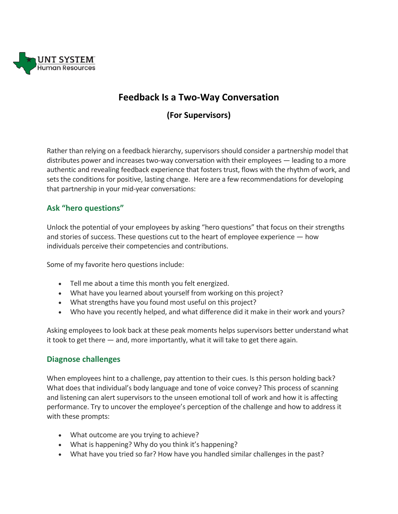

# **Feedback Is a Two-Way Conversation**

## **(For Supervisors)**

Rather than relying on a feedback hierarchy, supervisors should consider a partnership model that distributes power and increases two-way conversation with their employees — leading to a more authentic and revealing feedback experience that fosters trust, flows with the rhythm of work, and sets the conditions for positive, lasting change. Here are a few recommendations for developing that partnership in your mid-year conversations:

#### **Ask "hero questions"**

Unlock the potential of your employees by asking "hero questions" that focus on their strengths and stories of success. These questions cut to the heart of employee experience — how individuals perceive their competencies and contributions.

Some of my favorite hero questions include:

- Tell me about a time this month you felt energized.
- What have you learned about yourself from working on this project?
- What strengths have you found most useful on this project?
- Who have you recently helped, and what difference did it make in their work and yours?

Asking employees to look back at these peak moments helps supervisors better understand what it took to get there  $-$  and, more importantly, what it will take to get there again.

#### **Diagnose challenges**

When employees hint to a challenge, pay attention to their cues. Is this person holding back? What does that individual's body language and tone of voice convey? This process of scanning and listening can alert supervisors to the unseen emotional toll of work and how it is affecting performance. Try to uncover the employee's perception of the challenge and how to address it with these prompts:

- What outcome are you trying to achieve?
- What is happening? Why do you think it's happening?
- What have you tried so far? How have you handled similar challenges in the past?